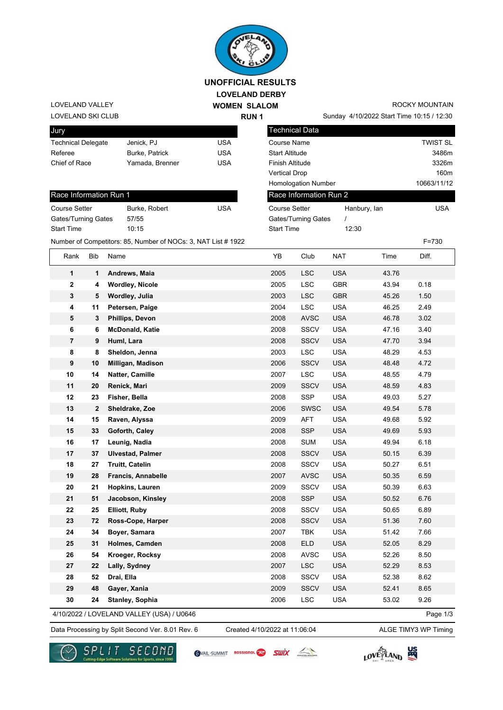

## **LOVELAND DERBY WOMEN SLALOM UNOFFICIAL RESULTS**

**RUN 1**

LOVELAND SKI CLUB LOVELAND VALLEY

| Jury                      |                 |     |
|---------------------------|-----------------|-----|
| <b>Technical Delegate</b> | Jenick, PJ      | USA |
| Referee                   | Burke, Patrick  | USA |
| Chief of Race             | Yamada, Brenner | USA |
|                           |                 |     |

## Race Information Run 1 Course Setter Burke, Robert USA Gates/Turning Gates 57/55 Start Time 10:15

Sunday 4/10/2022 Start Time 10:15 / 12:30 ROCKY MOUNTAIN

| Jury                                                  |                                                              |            | <b>Technical Data</b>      |                  |             |
|-------------------------------------------------------|--------------------------------------------------------------|------------|----------------------------|------------------|-------------|
| <b>Technical Delegate</b><br><b>USA</b><br>Jenick, PJ |                                                              |            | Course Name                | TWIST SL         |             |
| Referee                                               | Burke, Patrick                                               | <b>USA</b> | <b>Start Altitude</b>      |                  | 3486m       |
| Chief of Race                                         | <b>USA</b><br>Yamada, Brenner                                |            | Finish Altitude            | 3326m            |             |
|                                                       |                                                              |            | <b>Vertical Drop</b>       | 160 <sub>m</sub> |             |
|                                                       |                                                              |            | <b>Homologation Number</b> |                  | 10663/11/12 |
| Race Information Run 1                                |                                                              |            | Race Information Run 2     |                  |             |
| <b>Course Setter</b>                                  | Burke, Robert                                                | <b>USA</b> | <b>Course Setter</b>       | Hanbury, lan     | <b>USA</b>  |
| Gates/Turning Gates                                   | 57/55                                                        |            | Gates/Turning Gates        |                  |             |
| <b>Start Time</b>                                     | 10:15                                                        |            | <b>Start Time</b>          | 12:30            |             |
|                                                       | Number of Competitors: 85, Number of NOCs: 3, NAT List #1922 |            |                            |                  | $F = 730$   |

| Rank                    | Bib          | Name                                      | YΒ   | Club        | NAT        | Time  | Diff.    |
|-------------------------|--------------|-------------------------------------------|------|-------------|------------|-------|----------|
| 1                       | 1            | Andrews, Maia                             | 2005 | <b>LSC</b>  | <b>USA</b> | 43.76 |          |
| $\mathbf 2$             | 4            | <b>Wordley, Nicole</b>                    | 2005 | <b>LSC</b>  | <b>GBR</b> | 43.94 | 0.18     |
| 3                       | 5            | Wordley, Julia                            | 2003 | <b>LSC</b>  | <b>GBR</b> | 45.26 | 1.50     |
| 4                       | 11           | Petersen, Paige                           | 2004 | <b>LSC</b>  | <b>USA</b> | 46.25 | 2.49     |
| 5                       | 3            | Phillips, Devon                           | 2008 | <b>AVSC</b> | <b>USA</b> | 46.78 | 3.02     |
| 6                       | 6            | <b>McDonald, Katie</b>                    | 2008 | SSCV        | <b>USA</b> | 47.16 | 3.40     |
| $\overline{\mathbf{r}}$ | 9            | Huml, Lara                                | 2008 | <b>SSCV</b> | <b>USA</b> | 47.70 | 3.94     |
| 8                       | 8            | Sheldon, Jenna                            | 2003 | LSC         | <b>USA</b> | 48.29 | 4.53     |
| 9                       | 10           | Milligan, Madison                         | 2006 | <b>SSCV</b> | <b>USA</b> | 48.48 | 4.72     |
| 10                      | 14           | Natter, Camille                           | 2007 | <b>LSC</b>  | <b>USA</b> | 48.55 | 4.79     |
| 11                      | 20           | Renick, Mari                              | 2009 | <b>SSCV</b> | <b>USA</b> | 48.59 | 4.83     |
| 12                      | 23           | Fisher, Bella                             | 2008 | <b>SSP</b>  | <b>USA</b> | 49.03 | 5.27     |
| 13                      | $\mathbf{2}$ | Sheldrake, Zoe                            | 2006 | <b>SWSC</b> | <b>USA</b> | 49.54 | 5.78     |
| 14                      | 15           | Raven, Alyssa                             | 2009 | <b>AFT</b>  | <b>USA</b> | 49.68 | 5.92     |
| 15                      | 33           | Goforth, Caley                            | 2008 | <b>SSP</b>  | <b>USA</b> | 49.69 | 5.93     |
| 16                      | 17           | Leunig, Nadia                             | 2008 | <b>SUM</b>  | <b>USA</b> | 49.94 | 6.18     |
| 17                      | 37           | <b>Ulvestad, Palmer</b>                   | 2008 | <b>SSCV</b> | <b>USA</b> | 50.15 | 6.39     |
| 18                      | 27           | <b>Truitt, Catelin</b>                    | 2008 | <b>SSCV</b> | <b>USA</b> | 50.27 | 6.51     |
| 19                      | 28           | Francis, Annabelle                        | 2007 | <b>AVSC</b> | <b>USA</b> | 50.35 | 6.59     |
| 20                      | 21           | Hopkins, Lauren                           | 2009 | SSCV        | <b>USA</b> | 50.39 | 6.63     |
| 21                      | 51           | Jacobson, Kinsley                         | 2008 | <b>SSP</b>  | <b>USA</b> | 50.52 | 6.76     |
| 22                      | 25           | Elliott, Ruby                             | 2008 | <b>SSCV</b> | <b>USA</b> | 50.65 | 6.89     |
| 23                      | 72           | Ross-Cope, Harper                         | 2008 | <b>SSCV</b> | <b>USA</b> | 51.36 | 7.60     |
| 24                      | 34           | Boyer, Samara                             | 2007 | <b>TBK</b>  | <b>USA</b> | 51.42 | 7.66     |
| 25                      | 31           | Holmes, Camden                            | 2008 | <b>ELD</b>  | <b>USA</b> | 52.05 | 8.29     |
| 26                      | 54           | Kroeger, Rocksy                           | 2008 | <b>AVSC</b> | <b>USA</b> | 52.26 | 8.50     |
| 27                      | 22           | Lally, Sydney                             | 2007 | <b>LSC</b>  | <b>USA</b> | 52.29 | 8.53     |
| 28                      | 52           | Drai, Ella                                | 2008 | SSCV        | <b>USA</b> | 52.38 | 8.62     |
| 29                      | 48           | Gayer, Xania                              | 2009 | <b>SSCV</b> | <b>USA</b> | 52.41 | 8.65     |
| 30                      | 24           | <b>Stanley, Sophia</b>                    | 2006 | <b>LSC</b>  | <b>USA</b> | 53.02 | 9.26     |
|                         |              | 4/10/2022 / LOVELAND VALLEY (USA) / U0646 |      |             |            |       | Page 1/3 |

Data Processing by Split Second Ver. 8.01 Rev. 6 Created 4/10/2022 at 11:06:04 ALGE TIMY3 WP Timing Created 4/10/2022 at 11:06:04



SVAIL-SUMMIT ROSSIGNOL<sup>2</sup> SWIX

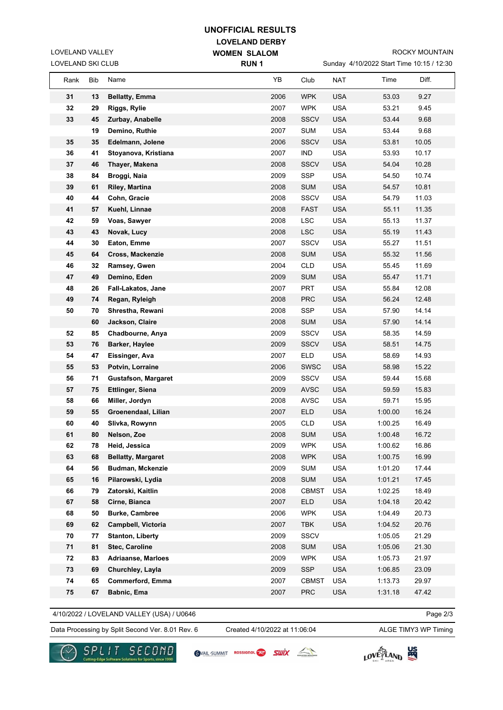## **LOVELAND DERBY UNOFFICIAL RESULTS**

**WOMEN SLALOM** 

LOVELAND SKI CLUB LOVELAND VALLEY

Sunday 4/10/2022 Start Time 10:15 / 12:30

| LOVELAND SKI CLUB |     |                            | <b>RUN1</b> |              |            | Sunday 4/10/2022 Start Time 10:15 / 12:30 |       |
|-------------------|-----|----------------------------|-------------|--------------|------------|-------------------------------------------|-------|
| Rank              | Bib | Name                       | YΒ          | Club         | <b>NAT</b> | Time                                      | Diff. |
| 31                | 13  | <b>Bellatty, Emma</b>      | 2006        | <b>WPK</b>   | <b>USA</b> | 53.03                                     | 9.27  |
| 32                | 29  | Riggs, Rylie               | 2007        | <b>WPK</b>   | <b>USA</b> | 53.21                                     | 9.45  |
| 33                | 45  | Zurbay, Anabelle           | 2008        | <b>SSCV</b>  | <b>USA</b> | 53.44                                     | 9.68  |
|                   | 19  | Demino, Ruthie             | 2007        | <b>SUM</b>   | <b>USA</b> | 53.44                                     | 9.68  |
| 35                | 35  | Edelmann, Jolene           | 2006        | <b>SSCV</b>  | <b>USA</b> | 53.81                                     | 10.05 |
| 36                | 41  | Stoyanova, Kristiana       | 2007        | <b>IND</b>   | <b>USA</b> | 53.93                                     | 10.17 |
| 37                | 46  | Thayer, Makena             | 2008        | <b>SSCV</b>  | <b>USA</b> | 54.04                                     | 10.28 |
| 38                | 84  | Broggi, Naia               | 2009        | SSP          | <b>USA</b> | 54.50                                     | 10.74 |
| 39                | 61  | Riley, Martina             | 2008        | <b>SUM</b>   | <b>USA</b> | 54.57                                     | 10.81 |
| 40                | 44  | Cohn, Gracie               | 2008        | SSCV         | <b>USA</b> | 54.79                                     | 11.03 |
| 41                | 57  | Kuehl, Linnae              | 2008        | <b>FAST</b>  | <b>USA</b> | 55.11                                     | 11.35 |
| 42                | 59  | Voas, Sawyer               | 2008        | <b>LSC</b>   | <b>USA</b> | 55.13                                     | 11.37 |
| 43                | 43  | Novak, Lucy                | 2008        | <b>LSC</b>   | <b>USA</b> | 55.19                                     | 11.43 |
| 44                | 30  | Eaton, Emme                | 2007        | <b>SSCV</b>  | <b>USA</b> | 55.27                                     | 11.51 |
| 45                | 64  | Cross, Mackenzie           | 2008        | <b>SUM</b>   | <b>USA</b> | 55.32                                     | 11.56 |
| 46                | 32  | Ramsey, Gwen               | 2004        | <b>CLD</b>   | <b>USA</b> | 55.45                                     | 11.69 |
| 47                | 49  | Demino, Eden               | 2009        | <b>SUM</b>   | <b>USA</b> | 55.47                                     | 11.71 |
| 48                | 26  | Fall-Lakatos, Jane         | 2007        | <b>PRT</b>   | <b>USA</b> | 55.84                                     | 12.08 |
| 49                | 74  | Regan, Ryleigh             | 2008        | <b>PRC</b>   | <b>USA</b> | 56.24                                     | 12.48 |
| 50                | 70  | Shrestha, Rewani           | 2008        | <b>SSP</b>   | <b>USA</b> | 57.90                                     | 14.14 |
|                   | 60  | Jackson, Claire            | 2008        | <b>SUM</b>   | <b>USA</b> | 57.90                                     | 14.14 |
| 52                | 85  | Chadbourne, Anya           | 2009        | <b>SSCV</b>  | <b>USA</b> | 58.35                                     | 14.59 |
| 53                | 76  | Barker, Haylee             | 2009        | <b>SSCV</b>  | <b>USA</b> | 58.51                                     | 14.75 |
| 54                | 47  | Eissinger, Ava             | 2007        | <b>ELD</b>   | <b>USA</b> | 58.69                                     | 14.93 |
| 55                | 53  | Potvin, Lorraine           | 2006        | <b>SWSC</b>  | <b>USA</b> | 58.98                                     | 15.22 |
| 56                | 71  | <b>Gustafson, Margaret</b> | 2009        | SSCV         | <b>USA</b> | 59.44                                     | 15.68 |
| 57                | 75  | <b>Ettlinger, Siena</b>    | 2009        | <b>AVSC</b>  | <b>USA</b> | 59.59                                     | 15.83 |
| 58                | 66  | Miller, Jordyn             | 2008        | <b>AVSC</b>  | <b>USA</b> | 59.71                                     | 15.95 |
| 59                | 55  | Groenendaal, Lilian        | 2007        | <b>ELD</b>   | <b>USA</b> | 1:00.00                                   | 16.24 |
| 60                | 40  | Slivka, Rowynn             | 2005        | <b>CLD</b>   | <b>USA</b> | 1:00.25                                   | 16.49 |
| 61                | 80  | Nelson. Zoe                | 2008        | <b>SUM</b>   | <b>USA</b> | 1:00.48                                   | 16.72 |
| 62                | 78  | Heid, Jessica              | 2009        | <b>WPK</b>   | <b>USA</b> | 1:00.62                                   | 16.86 |
| 63                | 68  | <b>Bellatty, Margaret</b>  | 2008        | <b>WPK</b>   | <b>USA</b> | 1:00.75                                   | 16.99 |
| 64                | 56  | Budman, Mckenzie           | 2009        | <b>SUM</b>   | <b>USA</b> | 1:01.20                                   | 17.44 |
| 65                | 16  | Pilarowski, Lydia          | 2008        | <b>SUM</b>   | <b>USA</b> | 1:01.21                                   | 17.45 |
| 66                | 79  | Zatorski, Kaitlin          | 2008        | <b>CBMST</b> | <b>USA</b> | 1:02.25                                   | 18.49 |
| 67                | 58  | Cirne, Bianca              | 2007        | <b>ELD</b>   | <b>USA</b> | 1:04.18                                   | 20.42 |
| 68                | 50  | <b>Burke, Cambree</b>      | 2006        | <b>WPK</b>   | <b>USA</b> | 1:04.49                                   | 20.73 |
| 69                | 62  | Campbell, Victoria         | 2007        | <b>TBK</b>   | <b>USA</b> | 1:04.52                                   | 20.76 |
| 70                | 77  | <b>Stanton, Liberty</b>    | 2009        | <b>SSCV</b>  |            | 1:05.05                                   | 21.29 |
| 71                | 81  | <b>Stec, Caroline</b>      | 2008        | <b>SUM</b>   | <b>USA</b> | 1:05.06                                   | 21.30 |
| 72                | 83  | <b>Adriaanse, Marloes</b>  | 2009        | <b>WPK</b>   | <b>USA</b> | 1:05.73                                   | 21.97 |
| 73                | 69  | Churchley, Layla           | 2009        | <b>SSP</b>   | <b>USA</b> | 1:06.85                                   | 23.09 |
| 74                | 65  | Commerford, Emma           | 2007        | <b>CBMST</b> | <b>USA</b> | 1:13.73                                   | 29.97 |
| 75                | 67  | Babnic, Ema                | 2007        | <b>PRC</b>   | <b>USA</b> | 1:31.18                                   | 47.42 |

## 4/10/2022 / LOVELAND VALLEY (USA) / U0646

Page 2/3

Data Processing by Split Second Ver. 8.01 Rev. 6 Created 4/10/2022 at 11:06:04 ALGE TIMY3 WP Timing

Created 4/10/2022 at 11:06:04